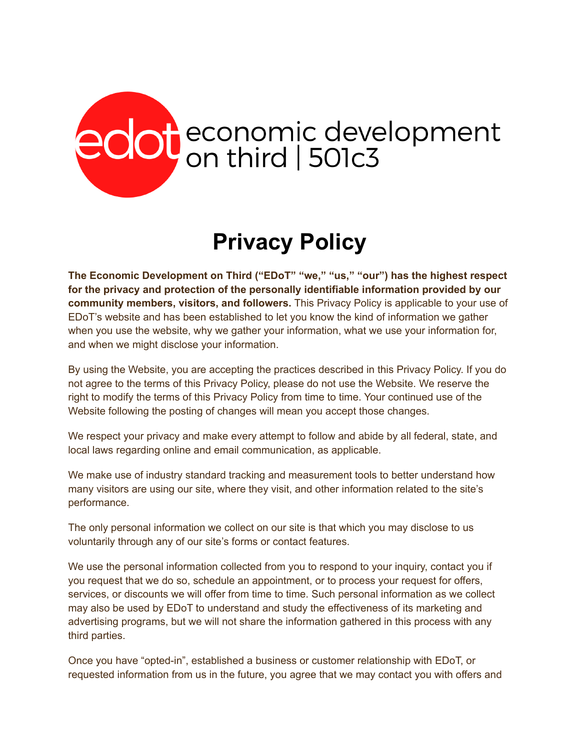## edot economic development

## **Privacy Policy**

**The Economic Development on Third ("EDoT" "we," "us," "our") has the highest respect for the privacy and protection of the personally identifiable information provided by our community members, visitors, and followers.** This Privacy Policy is applicable to your use of EDoT's website and has been established to let you know the kind of information we gather when you use the website, why we gather your information, what we use your information for, and when we might disclose your information.

By using the Website, you are accepting the practices described in this Privacy Policy. If you do not agree to the terms of this Privacy Policy, please do not use the Website. We reserve the right to modify the terms of this Privacy Policy from time to time. Your continued use of the Website following the posting of changes will mean you accept those changes.

We respect your privacy and make every attempt to follow and abide by all federal, state, and local laws regarding online and email communication, as applicable.

We make use of industry standard tracking and measurement tools to better understand how many visitors are using our site, where they visit, and other information related to the site's performance.

The only personal information we collect on our site is that which you may disclose to us voluntarily through any of our site's forms or contact features.

We use the personal information collected from you to respond to your inquiry, contact you if you request that we do so, schedule an appointment, or to process your request for offers, services, or discounts we will offer from time to time. Such personal information as we collect may also be used by EDoT to understand and study the effectiveness of its marketing and advertising programs, but we will not share the information gathered in this process with any third parties.

Once you have "opted-in", established a business or customer relationship with EDoT, or requested information from us in the future, you agree that we may contact you with offers and